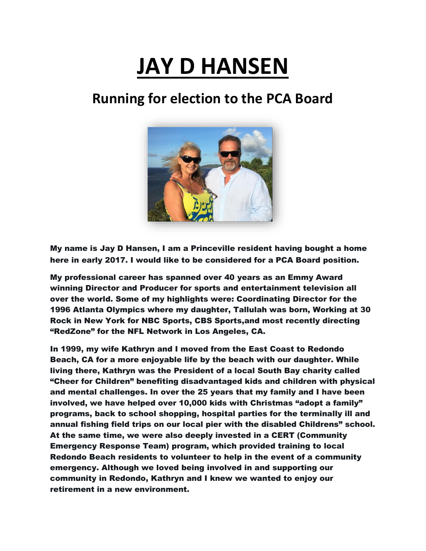## **JAY D HANSEN**

## **Running for election to the PCA Board**



My name is Jay D Hansen, I am a Princeville resident having bought a home here in early 2017. I would like to be considered for a PCA Board position.

My professional career has spanned over 40 years as an Emmy Award winning Director and Producer for sports and entertainment television all over the world. Some of my highlights were: Coordinating Director for the 1996 Atlanta Olympics where my daughter, Tallulah was born, Working at 30 Rock in New York for NBC Sports, CBS Sports,and most recently directing "RedZone" for the NFL Network in Los Angeles, CA.

In 1999, my wife Kathryn and I moved from the East Coast to Redondo Beach, CA for a more enjoyable life by the beach with our daughter. While living there, Kathryn was the President of a local South Bay charity called "Cheer for Children" benefiting disadvantaged kids and children with physical and mental challenges. In over the 25 years that my family and I have been involved, we have helped over 10,000 kids with Christmas "adopt a family" programs, back to school shopping, hospital parties for the terminally ill and annual fishing field trips on our local pier with the disabled Childrens" school. At the same time, we were also deeply invested in a CERT (Community Emergency Response Team) program, which provided training to local Redondo Beach residents to volunteer to help in the event of a community emergency. Although we loved being involved in and supporting our community in Redondo, Kathryn and I knew we wanted to enjoy our retirement in a new environment.